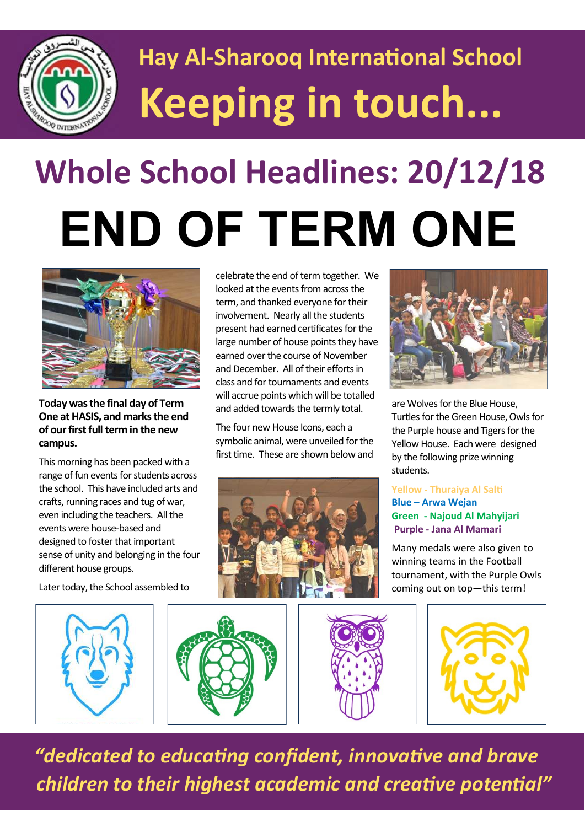

## **Hay Al-Sharooq International School Keeping in touch...**

# **Whole School Headlines: 20/12/18 END OF TERM ONE**



**Today was the final day of Term One at HASIS, and marks the end of our first full term in the new campus.** 

This morning has been packed with a range of fun events for students across the school. This have included arts and crafts, running races and tug of war, even including the teachers. All the events were house-based and designed to foster that important sense of unity and belonging in the four different house groups.

Later today, the School assembled to

celebrate the end of term together. We looked at the events from across the term, and thanked everyone for their involvement. Nearly all the students present had earned certificates for the large number of house points they have earned over the course of November and December. All of their efforts in class and for tournaments and events will accrue points which will be totalled and added towards the termly total.

The four new House Icons, each a symbolic animal, were unveiled for the first time. These are shown below and





are Wolves for the Blue House, Turtles for the Green House, Owls for the Purple house and Tigers for the Yellow House. Each were designed by the following prize winning students.

### **Yellow - Thuraiya Al Salti Blue – Arwa Wejan Green - Najoud Al Mahyijari Purple - Jana Al Mamari**

Many medals were also given to winning teams in the Football tournament, with the Purple Owls coming out on top—this term!









 *"dedicated to educating confident, innovative and brave children to their highest academic and creative potential"*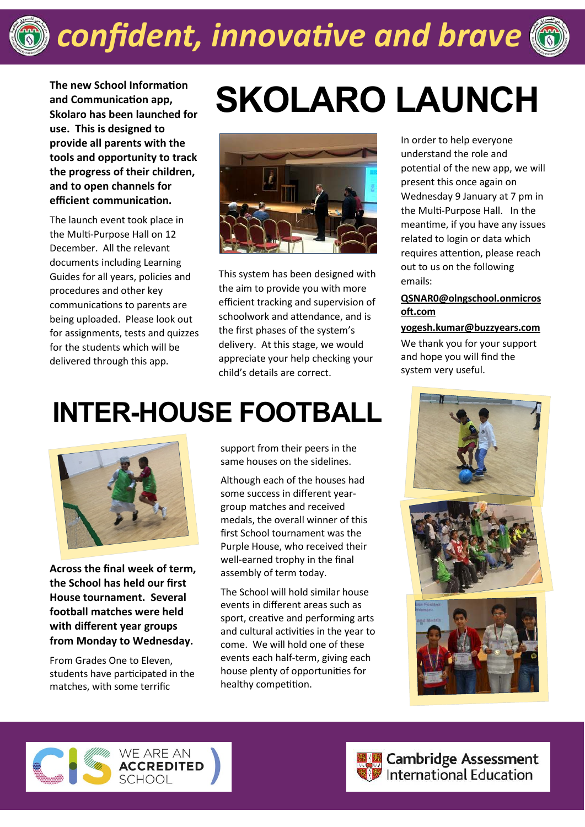

**The new School Information and Communication app, Skolaro has been launched for use. This is designed to provide all parents with the tools and opportunity to track the progress of their children, and to open channels for efficient communication.**

The launch event took place in the Multi-Purpose Hall on 12 December. All the relevant documents including Learning Guides for all years, policies and procedures and other key communications to parents are being uploaded. Please look out for assignments, tests and quizzes for the students which will be delivered through this app.

## **SKOLARO LAUNCH**



This system has been designed with the aim to provide you with more efficient tracking and supervision of schoolwork and attendance, and is the first phases of the system's delivery. At this stage, we would appreciate your help checking your child's details are correct.

## **INTER-HOUSE FOOTBALL**



**Across the final week of term, the School has held our first House tournament. Several football matches were held with different year groups from Monday to Wednesday.**

From Grades One to Eleven, students have participated in the matches, with some terrific

support from their peers in the same houses on the sidelines.

Although each of the houses had some success in different yeargroup matches and received medals, the overall winner of this first School tournament was the Purple House, who received their well-earned trophy in the final assembly of term today.

The School will hold similar house events in different areas such as sport, creative and performing arts and cultural activities in the year to come. We will hold one of these events each half-term, giving each house plenty of opportunities for healthy competition.

In order to help everyone understand the role and potential of the new app, we will present this once again on Wednesday 9 January at 7 pm in the Multi-Purpose Hall. In the meantime, if you have any issues related to login or data which requires attention, please reach out to us on the following emails:

### **[QSNAR0@olngschool.onmicros](mailto:QSNAR0@olngschool.onmicrosoft.com) [oft.com](mailto:QSNAR0@olngschool.onmicrosoft.com)**

#### **[yogesh.kumar@buzzyears.com](mailto:yogesh.kumar@buzzyears.com)**

We thank you for your support and hope you will find the system very useful.